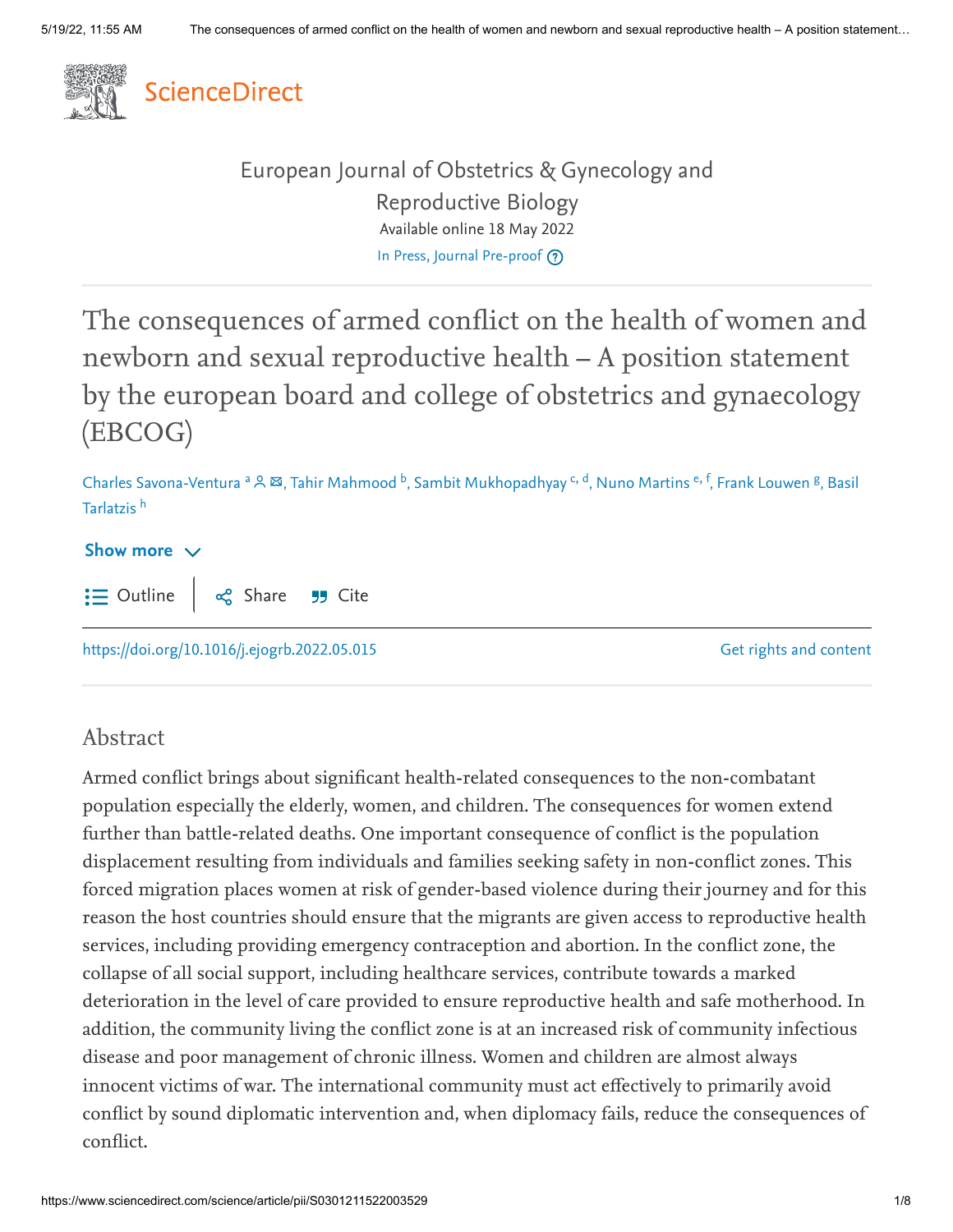

[European Journal of Obstetrics & Gynecology and](https://www.sciencedirect.com/journal/european-journal-of-obstetrics-and-gynecology-and-reproductive-biology) Reproductive Biology Available online 18 May 2022 [In Press, Journal Pre-proof](https://www.sciencedirect.com/journal/european-journal-of-obstetrics-and-gynecology-and-reproductive-biology/articles-in-press) ?

The consequences of armed conflict on the health of women and newborn and sexual reproductive health – A position statement by the european board and college of obstetrics and gynaecology (EBCOG)

Charles Savona-Ventura <sup>a</sup> & ⊠, Tahir Mahmood <sup>b</sup>, Sambit Mukhopadhyay <sup>c, d</sup>, Nuno Martins <sup>e, f</sup>, Frank Louwen <sup>g</sup>, Basil Tarlatzis <sup>h</sup>

#### Show more  $\vee$  $\mathbf{:=}$  Outline og Share 55 Cite

<https://doi.org/10.1016/j.ejogrb.2022.05.015>

[Get rights and content](https://s100.copyright.com/AppDispatchServlet?publisherName=ELS&contentID=S0301211522003529&orderBeanReset=true)

#### Abstract

Armed conflict brings about significant health-related consequences to the non-combatant population especially the elderly, women, and children. The consequences for women extend further than battle-related deaths. One important consequence of conflict is the population displacement resulting from individuals and families seeking safety in non-conflict zones. This forced migration places women at risk of gender-based violence during their journey and for this reason the host countries should ensure that the migrants are given access to reproductive health services, including providing emergency contraception and abortion. In the conflict zone, the collapse of all social support, including healthcare services, contribute towards a marked deterioration in the level of care provided to ensure reproductive health and safe motherhood. In addition, the community living the conflict zone is at an increased risk of community infectious disease and poor management of chronic illness. Women and children are almost always innocent victims of war. The international community must act effectively to primarily avoid conflict by sound diplomatic intervention and, when diplomacy fails, reduce the consequences of conflict.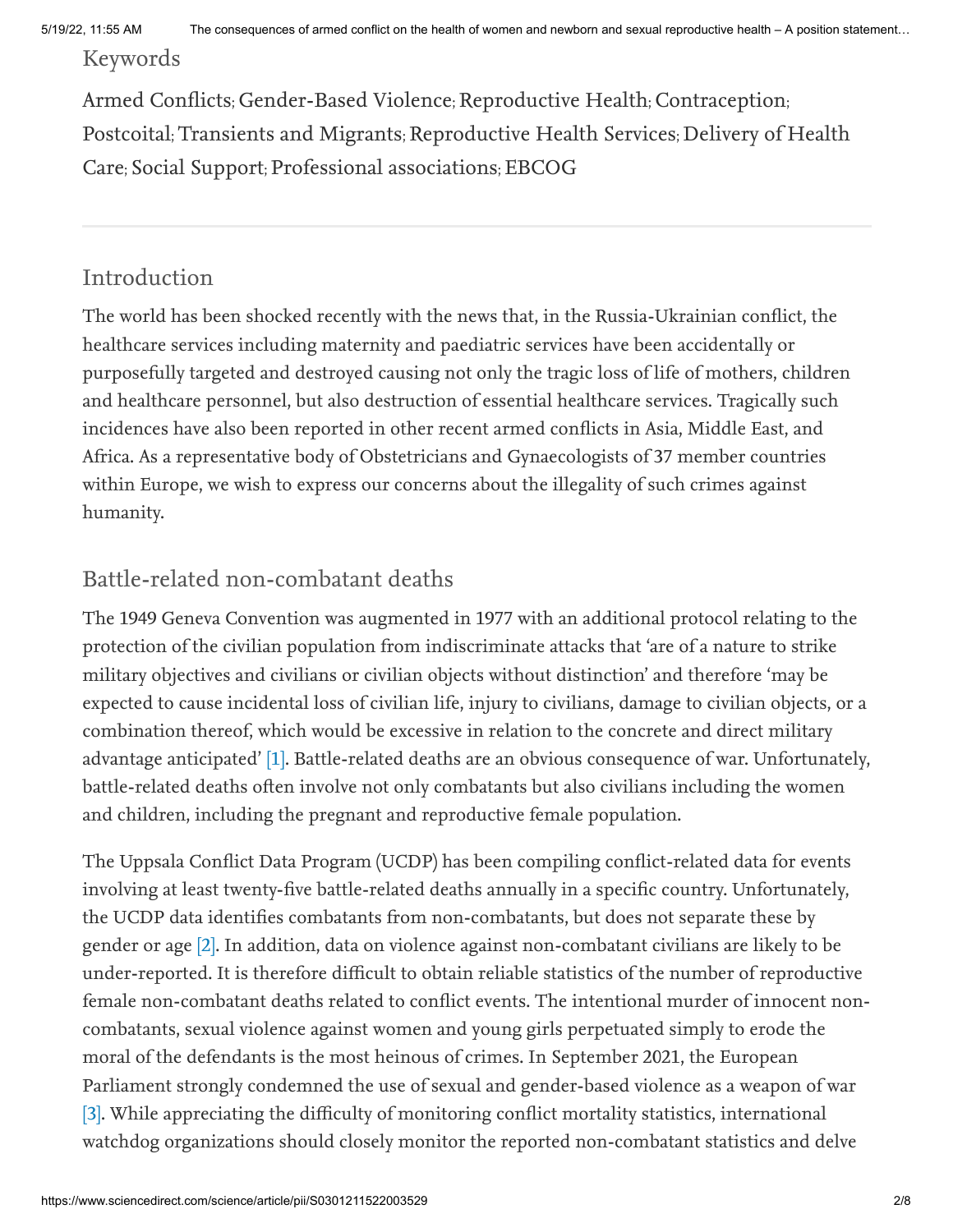Keywords

Armed Conflicts; Gender-Based Violence; Reproductive Health; Contraception; Postcoital; Transients and Migrants; Reproductive Health Services; Delivery of Health Care; Social Support; Professional associations; EBCOG

#### Introduction

The world has been shocked recently with the news that, in the Russia-Ukrainian conflict, the healthcare services including maternity and paediatric services have been accidentally or purposefully targeted and destroyed causing not only the tragic loss of life of mothers, children and healthcare personnel, but also destruction of essential healthcare services. Tragically such incidences have also been reported in other recent armed conflicts in Asia, Middle East, and Africa. As a representative body of Obstetricians and Gynaecologists of 37 member countries within Europe, we wish to express our concerns about the illegality of such crimes against humanity.

## Battle-related non-combatant deaths

The 1949 Geneva Convention was augmented in 1977 with an additional protocol relating to the protection of the civilian population from indiscriminate attacks that 'are of a nature to strike military objectives and civilians or civilian objects without distinction' and therefore 'may be expected to cause incidental loss of civilian life, injury to civilians, damage to civilian objects, or a combination thereof, which would be excessive in relation to the concrete and direct military advantage anticipated' [1]. Battle-related deaths are an obvious consequence of war. Unfortunately, battle-related deaths often involve not only combatants but also civilians including the women and children, including the pregnant and reproductive female population.

<span id="page-1-2"></span><span id="page-1-1"></span><span id="page-1-0"></span>The Uppsala Conflict Data Program (UCDP) has been compiling conflict-related data for events involving at least twenty-five battle-related deaths annually in a specific country. Unfortunately, the UCDP data identifies combatants from non-combatants, but does not separate these by gender or age [2]. In addition, data on violence against non-combatant civilians are likely to be under-reported. It is therefore difficult to obtain reliable statistics of the number of reproductive female non-combatant deaths related to conflict events. The intentional murder of innocent noncombatants, sexual violence against women and young girls perpetuated simply to erode the moral of the defendants is the most heinous of crimes. In September 2021, the European Parliament strongly condemned the use of sexual and gender-based violence as a weapon of war [3]. While appreciating the difficulty of monitoring conflict mortality statistics, international watchdog organizations should closely monitor the reported non-combatant statistics and delve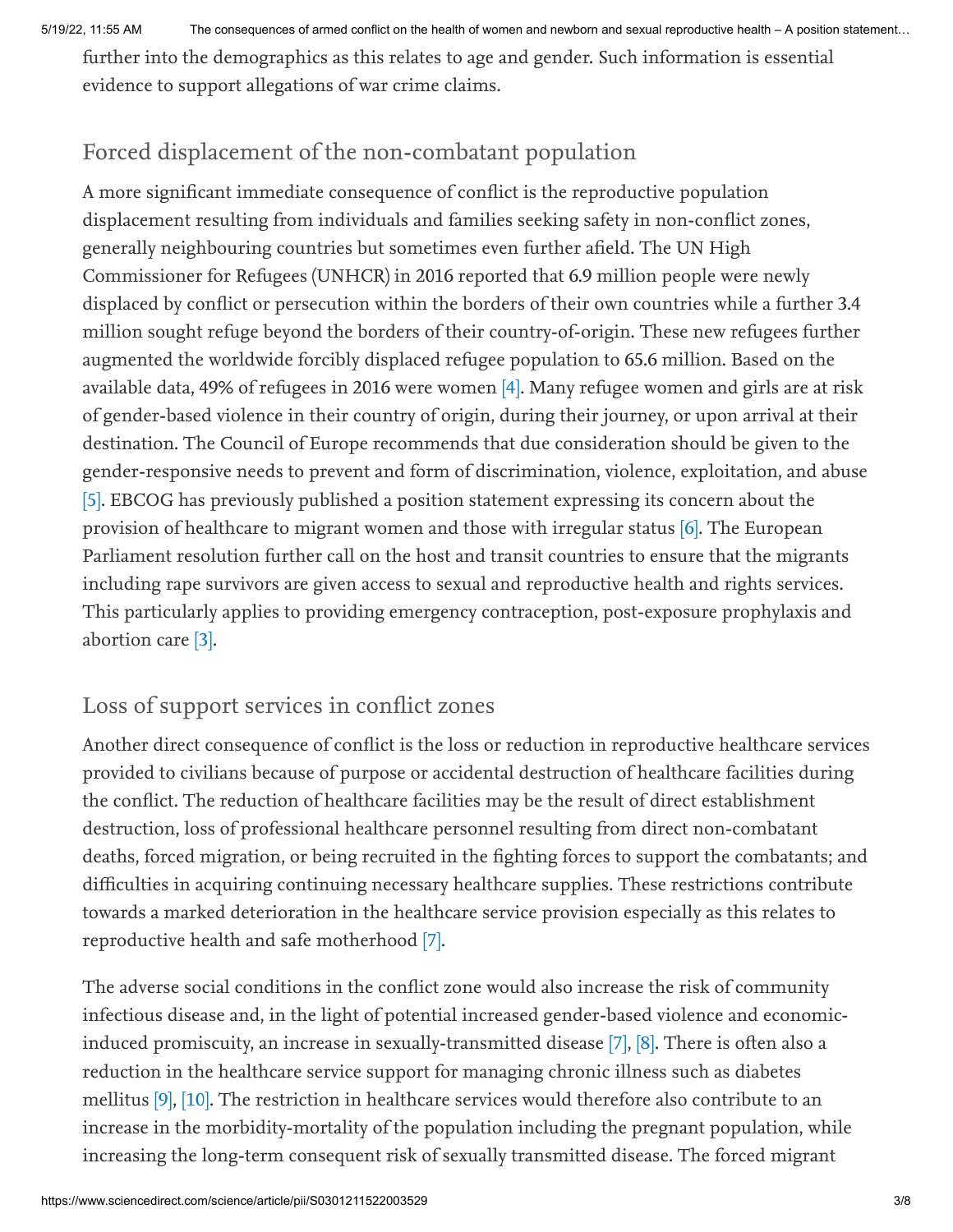5/19/22, 11:55 AM The consequences of armed conflict on the health of women and newborn and sexual reproductive health – A position statement…

further into the demographics as this relates to age and gender. Such information is essential evidence to support allegations of war crime claims.

## Forced displacement of the non-combatant population

<span id="page-2-0"></span>A more significant immediate consequence of conflict is the reproductive population displacement resulting from individuals and families seeking safety in non-conflict zones, generally neighbouring countries but sometimes even further afield. The UN High Commissioner for Refugees (UNHCR) in 2016 reported that 6.9 million people were newly displaced by conflict or persecution within the borders of their own countries while a further 3.4 million sought refuge beyond the borders of their country-of-origin. These new refugees further augmented the worldwide forcibly displaced refugee population to 65.6 million. Based on the available data, 49% of refugees in 2016 were women [4]. Many refugee women and girls are at risk of gender-based violence in their country of origin, during their journey, or upon arrival at their destination. The Council of Europe recommends that due consideration should be given to the gender-responsive needs to prevent and form of discrimination, violence, exploitation, and abuse [5]. EBCOG has previously published a position statement expressing its concern about the provision of healthcare to migrant women and those with irregular status [6]. The European Parliament resolution further call on the host and transit countries to ensure that the migrants including rape survivors are given access to sexual and reproductive health and rights services. This particularly applies to providing emergency contraception, post-exposure prophylaxis and abortion care [3].

### <span id="page-2-2"></span><span id="page-2-1"></span>Loss of support services in conflict zones

Another direct consequence of conflict is the loss or reduction in reproductive healthcare services provided to civilians because of purpose or accidental destruction of healthcare facilities during the conflict. The reduction of healthcare facilities may be the result of direct establishment destruction, loss of professional healthcare personnel resulting from direct non-combatant deaths, forced migration, or being recruited in the fighting forces to support the combatants; and difficulties in acquiring continuing necessary healthcare supplies. These restrictions contribute towards a marked deterioration in the healthcare service provision especially as this relates to reproductive health and safe motherhood [7].

<span id="page-2-6"></span><span id="page-2-5"></span><span id="page-2-4"></span><span id="page-2-3"></span>The adverse social conditions in the conflict zone would also increase the risk of community infectious disease and, in the light of potential increased gender-based violence and economicinduced promiscuity, an increase in sexually-transmitted disease [7], [8]. There is often also a reduction in the healthcare service support for managing chronic illness such as diabetes mellitus [9], [10]. The restriction in healthcare services would therefore also contribute to an increase in the morbidity-mortality of the population including the pregnant population, while increasing the long-term consequent risk of sexually transmitted disease. The forced migrant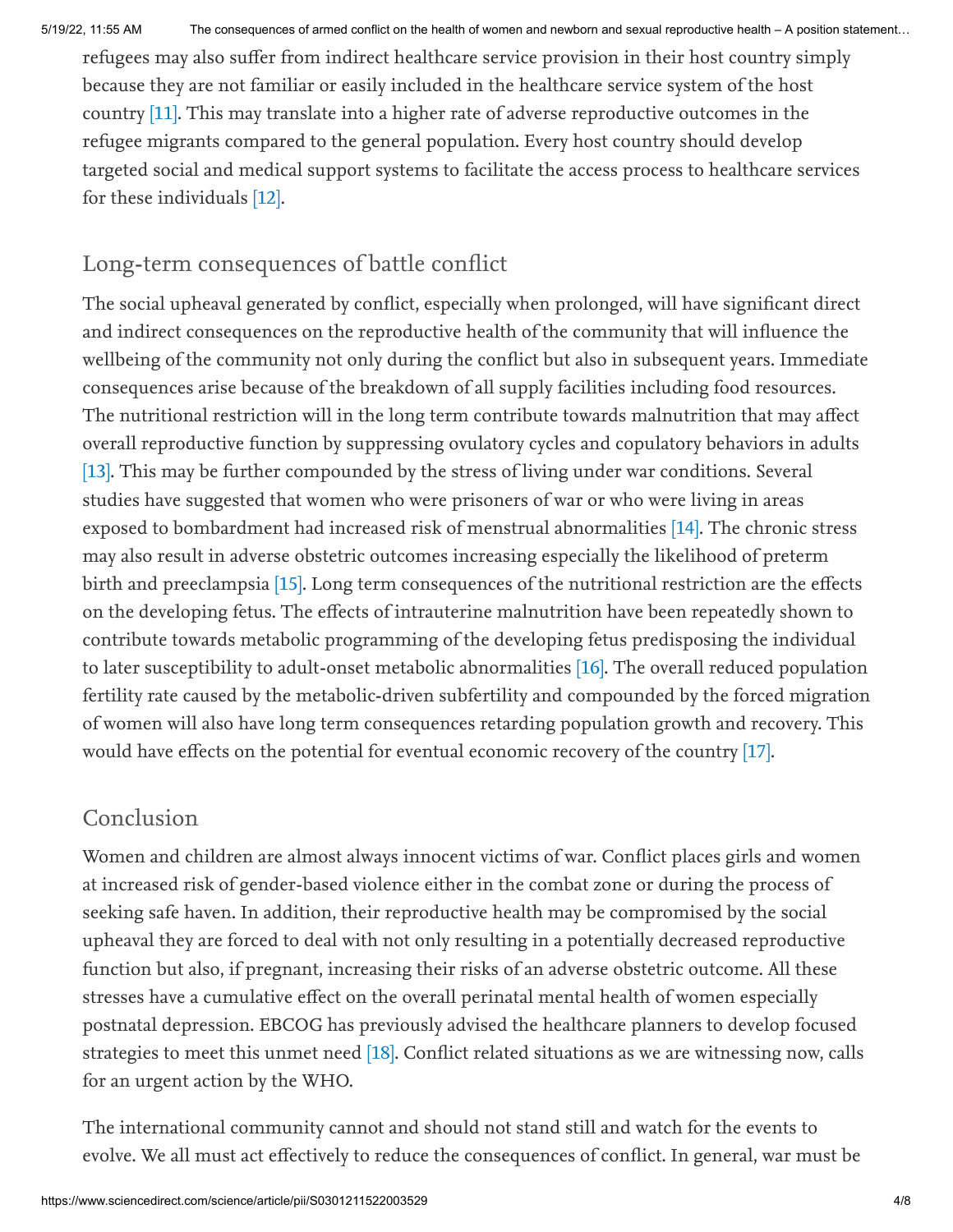<span id="page-3-0"></span>refugees may also suffer from indirect healthcare service provision in their host country simply because they are not familiar or easily included in the healthcare service system of the host country [11]. This may translate into a higher rate of adverse reproductive outcomes in the refugee migrants compared to the general population. Every host country should develop targeted social and medical support systems to facilitate the access process to healthcare services for these individuals [12].

#### <span id="page-3-1"></span>Long-term consequences of battle conflict

<span id="page-3-3"></span><span id="page-3-2"></span>The social upheaval generated by conflict, especially when prolonged, will have significant direct and indirect consequences on the reproductive health of the community that will influence the wellbeing of the community not only during the conflict but also in subsequent years. Immediate consequences arise because of the breakdown of all supply facilities including food resources. The nutritional restriction will in the long term contribute towards malnutrition that may affect overall reproductive function by suppressing ovulatory cycles and copulatory behaviors in adults [13]. This may be further compounded by the stress of living under war conditions. Several studies have suggested that women who were prisoners of war or who were living in areas exposed to bombardment had increased risk of menstrual abnormalities [14]. The chronic stress may also result in adverse obstetric outcomes increasing especially the likelihood of preterm birth and preeclampsia [15]. Long term consequences of the nutritional restriction are the effects on the developing fetus. The effects of intrauterine malnutrition have been repeatedly shown to contribute towards metabolic programming of the developing fetus predisposing the individual to later susceptibility to adult-onset metabolic abnormalities [16]. The overall reduced population fertility rate caused by the metabolic-driven subfertility and compounded by the forced migration of women will also have long term consequences retarding population growth and recovery. This would have effects on the potential for eventual economic recovery of the country [17].

#### <span id="page-3-6"></span><span id="page-3-5"></span><span id="page-3-4"></span>Conclusion

Women and children are almost always innocent victims of war. Conflict places girls and women at increased risk of gender-based violence either in the combat zone or during the process of seeking safe haven. In addition, their reproductive health may be compromised by the social upheaval they are forced to deal with not only resulting in a potentially decreased reproductive function but also, if pregnant, increasing their risks of an adverse obstetric outcome. All these stresses have a cumulative effect on the overall perinatal mental health of women especially postnatal depression. EBCOG has previously advised the healthcare planners to develop focused strategies to meet this unmet need [18]. Conflict related situations as we are witnessing now, calls for an urgent action by the WHO.

<span id="page-3-7"></span>The international community cannot and should not stand still and watch for the events to evolve. We all must act effectively to reduce the consequences of conflict. In general, war must be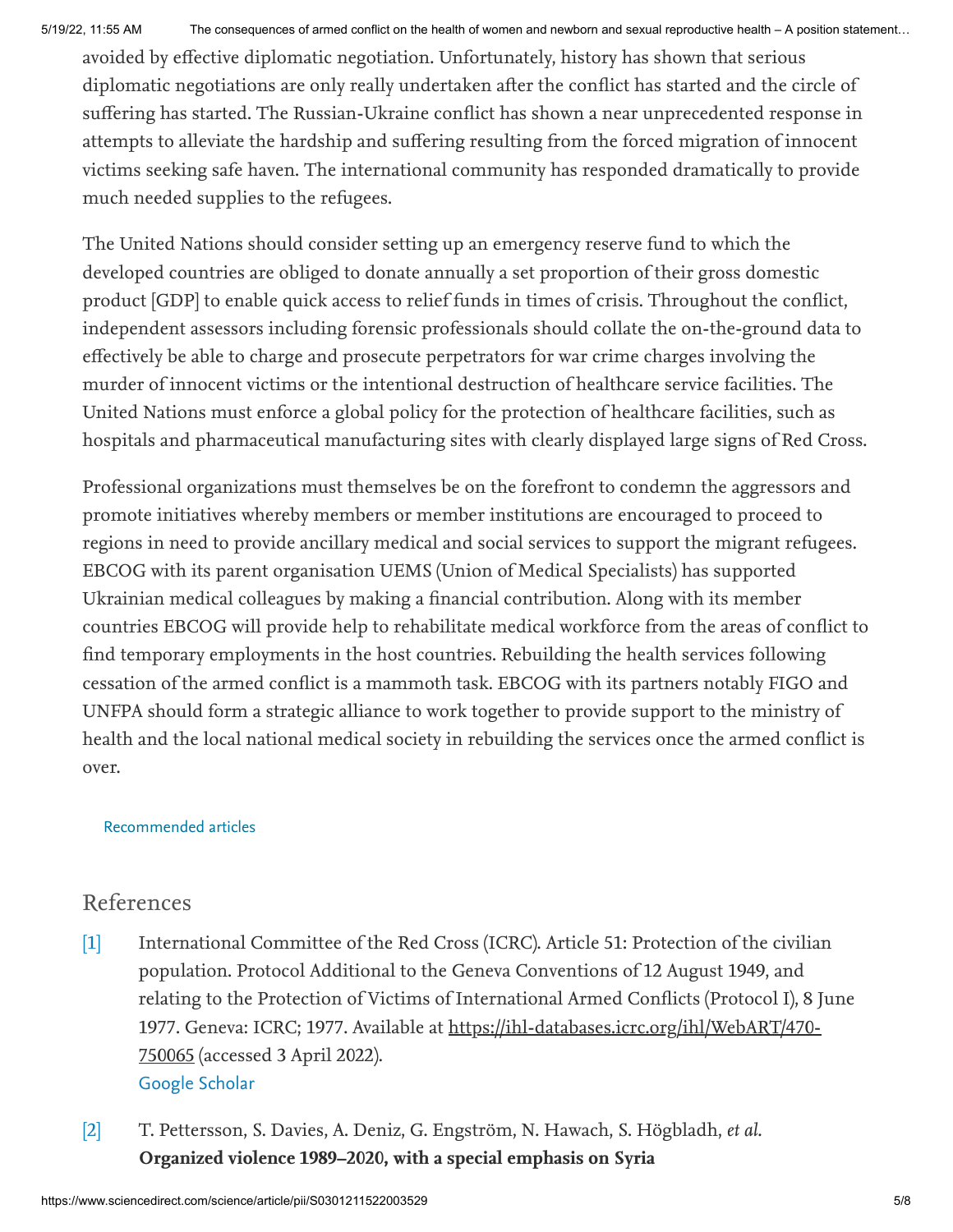avoided by effective diplomatic negotiation. Unfortunately, history has shown that serious diplomatic negotiations are only really undertaken after the conflict has started and the circle of suffering has started. The Russian-Ukraine conflict has shown a near unprecedented response in attempts to alleviate the hardship and suffering resulting from the forced migration of innocent victims seeking safe haven. The international community has responded dramatically to provide much needed supplies to the refugees.

The United Nations should consider setting up an emergency reserve fund to which the developed countries are obliged to donate annually a set proportion of their gross domestic product [GDP] to enable quick access to relief funds in times of crisis. Throughout the conflict, independent assessors including forensic professionals should collate the on-the-ground data to effectively be able to charge and prosecute perpetrators for war crime charges involving the murder of innocent victims or the intentional destruction of healthcare service facilities. The United Nations must enforce a global policy for the protection of healthcare facilities, such as hospitals and pharmaceutical manufacturing sites with clearly displayed large signs of Red Cross.

Professional organizations must themselves be on the forefront to condemn the aggressors and promote initiatives whereby members or member institutions are encouraged to proceed to regions in need to provide ancillary medical and social services to support the migrant refugees. EBCOG with its parent organisation UEMS (Union of Medical Specialists) has supported Ukrainian medical colleagues by making a financial contribution. Along with its member countries EBCOG will provide help to rehabilitate medical workforce from the areas of conflict to find temporary employments in the host countries. Rebuilding the health services following cessation of the armed conflict is a mammoth task. EBCOG with its partners notably FIGO and UNFPA should form a strategic alliance to work together to provide support to the ministry of health and the local national medical society in rebuilding the services once the armed conflict is over.

#### Recommended articles

#### References

- [\[1\]](#page-1-0) International Committee of the Red Cross (ICRC). Article 51: Protection of the civilian population. Protocol Additional to the Geneva Conventions of 12 August 1949, and relating to the Protection of Victims of International Armed Conflicts (Protocol I), 8 June 1977. Geneva: ICRC; 1977. Available at https://ihl-databases.icrc.org/ihl/WebART/470- 750065 (accessed 3 April 2022). [Google Scholar](https://scholar.google.com/scholar?q=International%20Committee%20of%20the%20Red%20Cross%20.%20Article%2051:%20Protection%20of%20the%20civilian%20population.%20Protocol%20Additional%20to%20the%20Geneva%20Conventions%20of%2012%20August%201949,%20and%20relating%20to%20the%20Protection%20of%20Victims%20of%20International%20Armed%20Conflicts%20,%208%20June%201977.%20Geneva:%20ICRC;%201977.%20Available%20at%20https:ihl-databases.icrc.orgihlWebART470-750065%20.)
- [\[2\]](#page-1-1) T. Pettersson, S. Davies, A. Deniz, G. Engström, N. Hawach, S. Högbladh, et al. Organized violence 1989–2020, with a special emphasis on Syria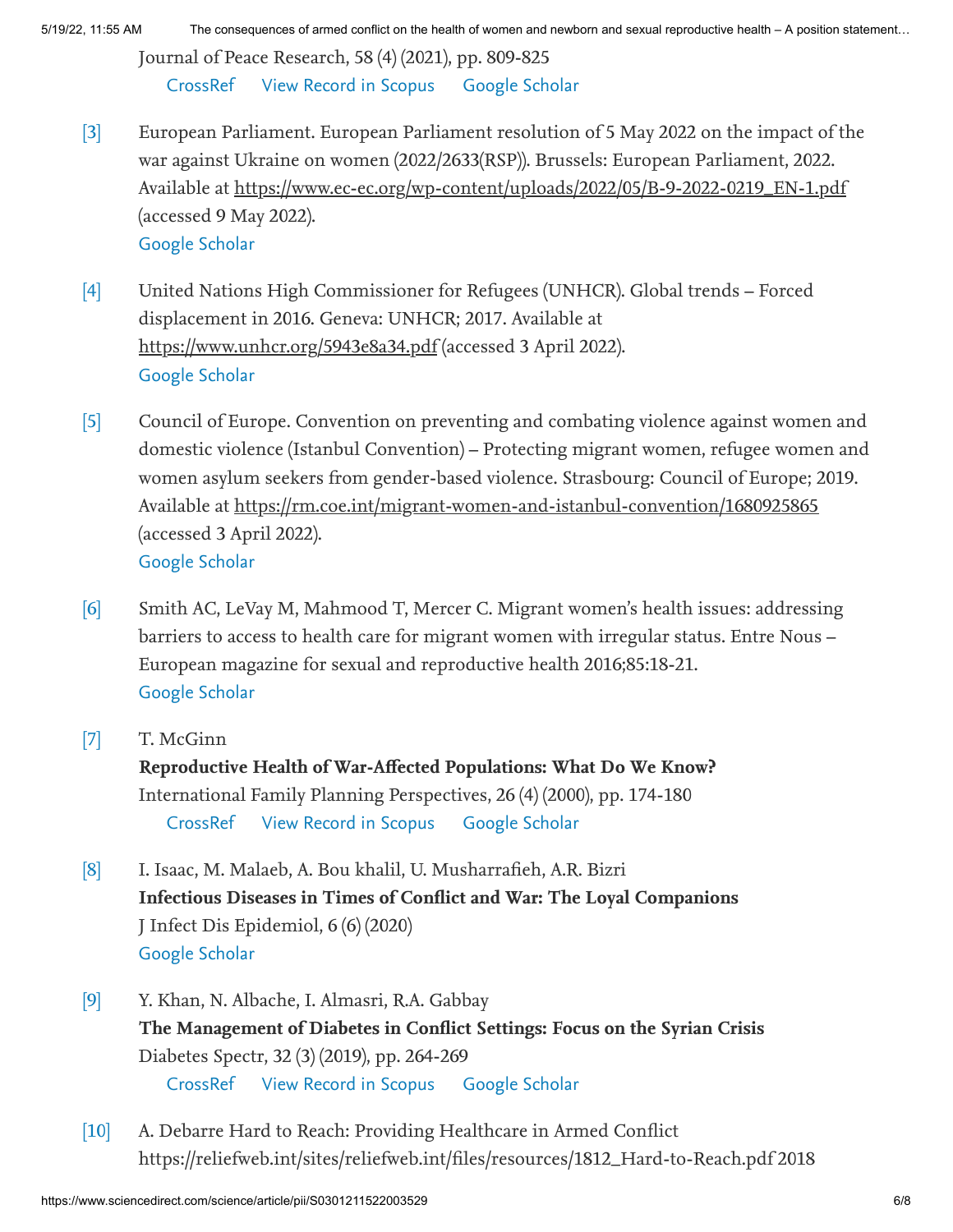5/19/22, 11:55 AM The consequences of armed conflict on the health of women and newborn and sexual reproductive health – A position statement…

Journal of Peace Research, 58 (4) (2021), pp. 809-825 [CrossRef](https://doi.org/10.1177/00223433211026126) [View Record in Scopus](https://www.scopus.com/inward/record.url?eid=2-s2.0-85109249471&partnerID=10&rel=R3.0.0) [Google Scholar](https://scholar.google.com/scholar?q=Organized%20violence%2019892020,%20with%20a%20special%20emphasis%20on%20Syria)

- [\[3\]](#page-1-2) European Parliament. European Parliament resolution of 5 May 2022 on the impact of the war against Ukraine on women (2022/2633(RSP)). Brussels: European Parliament, 2022. Available at https://www.ec-ec.org/wp-content/uploads/2022/05/B-9-2022-0219\_EN-1.pdf (accessed 9 May 2022). [Google Scholar](https://scholar.google.com/scholar?q=European%20Parliament.%20European%20Parliament%20resolution%20of%205%20May%202022%20on%20the%20impact%20of%20the%20war%20against%20Ukraine%20on%20women%20.%20Brussels:%20European%20Parliament,%202022.%20Available%20at%20https:www.ec-ec.orgwp-contentuploads202205B-9-2022-0219_EN-1.pdf%20.)
- [\[4\]](#page-2-0) United Nations High Commissioner for Refugees (UNHCR). Global trends – Forced displacement in 2016. Geneva: UNHCR; 2017. Available at https://www.unhcr.org/5943e8a34.pdf (accessed 3 April 2022). [Google Scholar](https://scholar.google.com/scholar?q=United%20Nations%20High%20Commissioner%20for%20Refugees%20.%20Global%20trends%20%20Forced%20displacement%20in%202016.%20Geneva:%20UNHCR;%202017.%20Available%20at%20https:www.unhcr.org5943e8a34.pdf%20.)
- [\[5\]](#page-2-1) Council of Europe. Convention on preventing and combating violence against women and domestic violence (Istanbul Convention) – Protecting migrant women, refugee women and women asylum seekers from gender-based violence. Strasbourg: Council of Europe; 2019. Available at https://rm.coe.int/migrant-women-and-istanbul-convention/1680925865 (accessed 3 April 2022). [Google Scholar](https://scholar.google.com/scholar?q=Council%20of%20Europe.%20Convention%20on%20preventing%20and%20combating%20violence%20against%20women%20and%20domestic%20violence%20%20%20Protecting%20migrant%20women,%20refugee%20women%20and%20women%20asylum%20seekers%20from%20gender-based%20violence.%20Strasbourg:%20Council%20of%20Europe;%202019.%20Available%20at%20https:rm.coe.intmigrant-women-and-istanbul-convention1680925865%20.)
- [\[6\]](#page-2-2) Smith AC, LeVay M, Mahmood T, Mercer C. Migrant women's health issues: addressing barriers to access to health care for migrant women with irregular status. Entre Nous – European magazine for sexual and reproductive health 2016;85:18-21. [Google Scholar](https://scholar.google.com/scholar?q=Smith%20AC,%20LeVay%20M,%20Mahmood%20T,%20Mercer%20C.%20Migrant%20womens%20health%20issues:%20addressing%20barriers%20to%20access%20to%20health%20care%20for%20migrant%20women%20with%20irregular%20status.%20Entre%20Nous%20%20European%20magazine%20for%20sexual%20and%20reproductive%20health%202016;85:18-21.)
- [\[7\]](#page-2-3) T. McGinn

Reproductive Health of War-Affected Populations: What Do We Know? International Family Planning Perspectives, 26 (4) (2000), pp. 174-180 [CrossRef](https://doi.org/10.2307/2648255) [View Record in Scopus](https://www.scopus.com/inward/record.url?eid=2-s2.0-0009842058&partnerID=10&rel=R3.0.0) [Google Scholar](https://scholar.google.com/scholar?q=Reproductive%20Health%20of%20War-Affected%20Populations:%20What%20Do%20We%20Know)

- [\[8\]](#page-2-4) I. Isaac, M. Malaeb, A. Bou khalil, U. Musharrafieh, A.R. Bizri Infectious Diseases in Times of Conflict and War: The Loyal Companions J Infect Dis Epidemiol, 6 (6) (2020) [Google Scholar](https://scholar.google.com/scholar_lookup?title=Infectious%20Diseases%20in%20Times%20of%20Conflict%20and%20War%3A%20The%20Loyal%20Companions&publication_year=2020&author=I.%20Isaac&author=M.%20Malaeb&author=A.%20Bou%20khalil&author=U.%20Musharrafieh&author=A.R.%20Bizri)
- [\[9\]](#page-2-5) Y. Khan, N. Albache, I. Almasri, R.A. Gabbay The Management of Diabetes in Conflict Settings: Focus on the Syrian Crisis Diabetes Spectr, 32 (3) (2019), pp. 264-269 [CrossRef](https://doi.org/10.2337/ds18-0070) [View Record in Scopus](https://www.scopus.com/inward/record.url?eid=2-s2.0-85071378106&partnerID=10&rel=R3.0.0) [Google Scholar](https://scholar.google.com/scholar_lookup?title=The%20Management%20of%20Diabetes%20in%20Conflict%20Settings%3A%20Focus%20on%20the%20Syrian%20Crisis&publication_year=2019&author=Y.%20Khan&author=N.%20Albache&author=I.%20Almasri&author=R.A.%20Gabbay)
- [\[10\]](#page-2-6) A. Debarre Hard to Reach: Providing Healthcare in Armed Conflict https://reliefweb.int/sites/reliefweb.int/files/resources/1812\_Hard-to-Reach.pdf 2018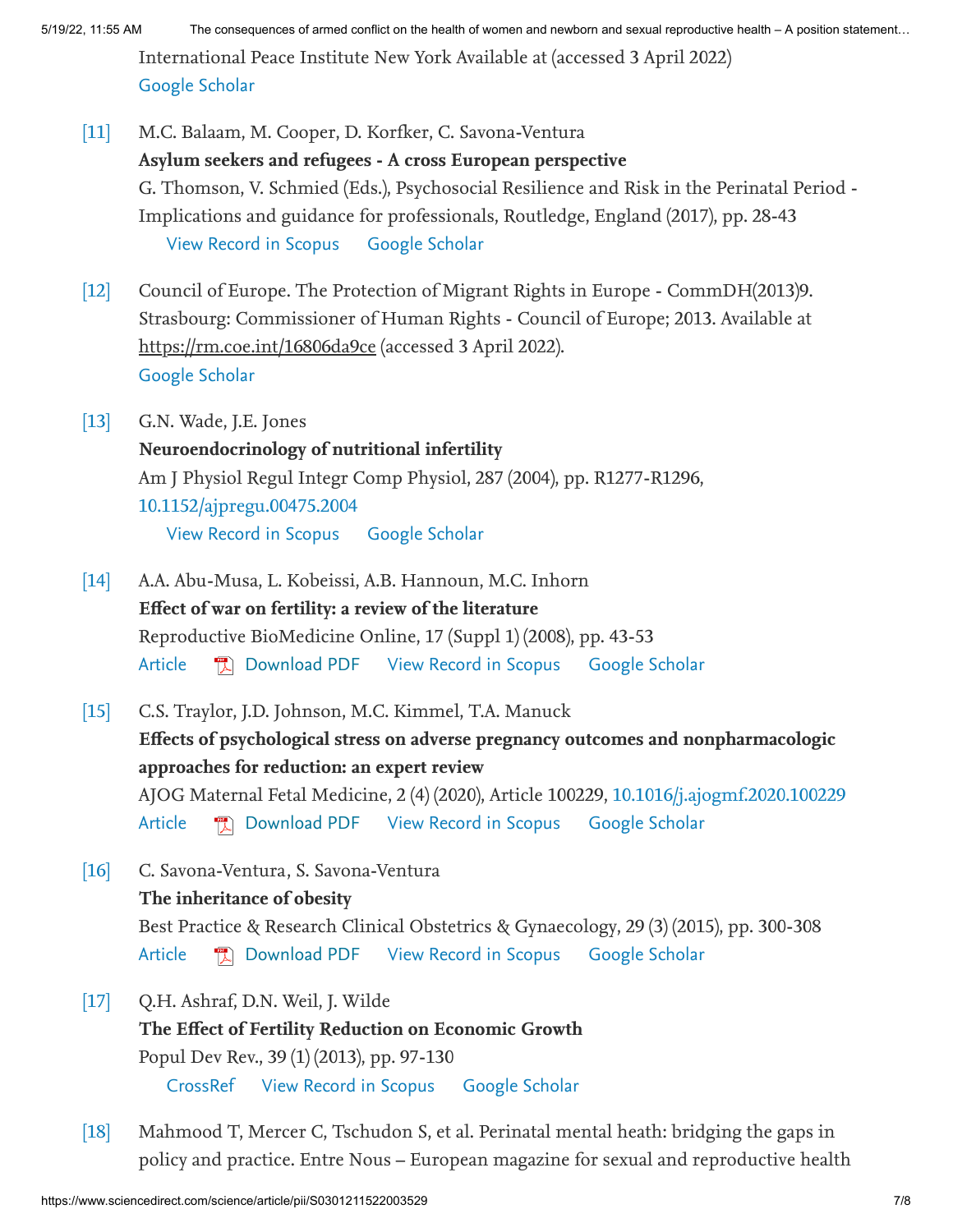International Peace Institute New York Available at (accessed 3 April 2022) [Google Scholar](https://scholar.google.com/scholar?q=A.%20Debarre%20Hard%20to%20Reach:%20Providing%20Healthcare%20in%20Armed%20Conflict%20https:reliefweb.intsitesreliefweb.intfilesresources1812_Hard-to-Reach.pdf%202018%20International%20Peace%20Institute%20New%20York%20Available%20at)

- [\[11\]](#page-3-0) M.C. Balaam, M. Cooper, D. Korfker, C. Savona-Ventura Asylum seekers and refugees - A cross European perspective G. Thomson, V. Schmied (Eds.), Psychosocial Resilience and Risk in the Perinatal Period - Implications and guidance for professionals, Routledge, England (2017), pp. 28-43 [View Record in Scopus](https://www.scopus.com/inward/record.url?eid=2-s2.0-85069294045&partnerID=10&rel=R3.0.0) [Google Scholar](https://scholar.google.com/scholar_lookup?title=Asylum%20seekers%20and%20refugees%20-%20A%20cross%20European%20perspective&publication_year=2017&author=M.C.%20Balaam&author=M.%20Cooper&author=D.%20Korfker&author=C.%20Savona-Ventura)
- [\[12\]](#page-3-1) Council of Europe. The Protection of Migrant Rights in Europe - CommDH(2013)9. Strasbourg: Commissioner of Human Rights - Council of Europe; 2013. Available at https://rm.coe.int/16806da9ce (accessed 3 April 2022). [Google Scholar](https://scholar.google.com/scholar?q=Council%20of%20Europe.%20The%20Protection%20of%20Migrant%20Rights%20in%20Europe%20-%20CommDH9.%20Strasbourg:%20Commissioner%20of%20Human%20Rights%20-%20Council%20of%20Europe;%202013.%20Available%20at%20https:rm.coe.int16806da9ce%20.)
- [\[13\]](#page-3-2) G.N. Wade, J.E. Jones Neuroendocrinology of nutritional infertility Am J Physiol Regul Integr Comp Physiol, 287 (2004), pp. R1277-R1296, [10.1152/ajpregu.00475.2004](https://doi.org/10.1152/ajpregu.00475.2004) [View Record in Scopus](https://www.scopus.com/inward/record.url?eid=2-s2.0-8844234906&partnerID=10&rel=R3.0.0) [Google Scholar](https://scholar.google.com/scholar_lookup?title=Neuroendocrinology%20of%20nutritional%20infertility&publication_year=2004&author=G.N.%20Wade&author=J.E.%20Jones)
- [\[14\]](#page-3-3) A.A. Abu-Musa, L. Kobeissi, A.B. Hannoun, M.C. Inhorn Effect of war on fertility: a review of the literature Reproductive BioMedicine Online, 17 (Suppl 1) (2008), pp. 43-53 [Article](https://www.sciencedirect.com/science/article/pii/S1472648310601897) **D** [Download PDF](https://www.sciencedirect.com/science/article/pii/S1472648310601897/pdf?md5=a474ab2468d7d262f1fedf9ab2e5eb70&pid=1-s2.0-S1472648310601897-main.pdf) [View Record in Scopus](https://www.scopus.com/inward/record.url?eid=2-s2.0-48249086129&partnerID=10&rel=R3.0.0) [Google Scholar](https://scholar.google.com/scholar_lookup?title=Effect%20of%20war%20on%20fertility%3A%20a%20review%20of%20the%20literature&publication_year=2008&author=A.A.%20Abu-Musa&author=L.%20Kobeissi&author=A.B.%20Hannoun&author=M.C.%20Inhorn)
- [\[15\]](#page-3-4) C.S. Traylor, J.D. Johnson, M.C. Kimmel, T.A. Manuck Effects of psychological stress on adverse pregnancy outcomes and nonpharmacologic approaches for reduction: an expert review AJOG Maternal Fetal Medicine, 2 (4) (2020), Article 100229, [10.1016/j.ajogmf.2020.100229](https://doi.org/10.1016/j.ajogmf.2020.100229) [Article](https://www.sciencedirect.com/science/article/pii/S258993332030197X) 图 [Download PDF](https://www.sciencedirect.com/science/article/pii/S258993332030197X/pdfft?md5=76a8aae2106763e4f892951e7321e701&pid=1-s2.0-S258993332030197X-main.pdf) [View Record in Scopus](https://www.scopus.com/inward/record.url?eid=2-s2.0-85099633589&partnerID=10&rel=R3.0.0) [Google Scholar](https://scholar.google.com/scholar_lookup?title=Effects%20of%20psychological%20stress%20on%20adverse%20pregnancy%20outcomes%20and%20nonpharmacologic%20approaches%20for%20reduction%3A%20an%20expert%20review&publication_year=2020&author=C.S.%20Traylor&author=J.D.%20Johnson&author=M.C.%20Kimmel&author=T.A.%20Manuck)
- [\[16\]](#page-3-5) C. Savona-Ventura, S. Savona-Ventura The inheritance of obesity Best Practice & Research Clinical Obstetrics & Gynaecology, 29 (3) (2015), pp. 300-308 [Article](https://www.sciencedirect.com/science/article/pii/S152169341400203X) **D** [Download PDF](https://www.sciencedirect.com/science/article/pii/S152169341400203X/pdfft?md5=0bbf5844c95ee5ab4f7ce71db1d49bfd&pid=1-s2.0-S152169341400203X-main.pdf) [View Record in Scopus](https://www.scopus.com/inward/record.url?eid=2-s2.0-84933508514&partnerID=10&rel=R3.0.0) [Google Scholar](https://scholar.google.com/scholar_lookup?title=The%20inheritance%20of%20obesity&publication_year=2015&author=C.%20Savona-Ventura&author=S.%20Savona-Ventura)
- [\[17\]](#page-3-6) Q.H. Ashraf, D.N. Weil, J. Wilde The Effect of Fertility Reduction on Economic Growth Popul Dev Rev., 39 (1) (2013), pp. 97-130 [CrossRef](https://doi.org/10.1111/j.1728-4457.2013.00575.x) [View Record in Scopus](https://www.scopus.com/inward/record.url?eid=2-s2.0-84875542684&partnerID=10&rel=R3.0.0) [Google Scholar](https://scholar.google.com/scholar_lookup?title=The%20Effect%20of%20Fertility%20Reduction%20on%20Economic%20Growth&publication_year=2013&author=Q.H.%20Ashraf&author=D.N.%20Weil&author=J.%20Wilde)
- [\[18\]](#page-3-7) Mahmood T, Mercer C, Tschudon S, et al. Perinatal mental heath: bridging the gaps in policy and practice. Entre Nous – European magazine for sexual and reproductive health